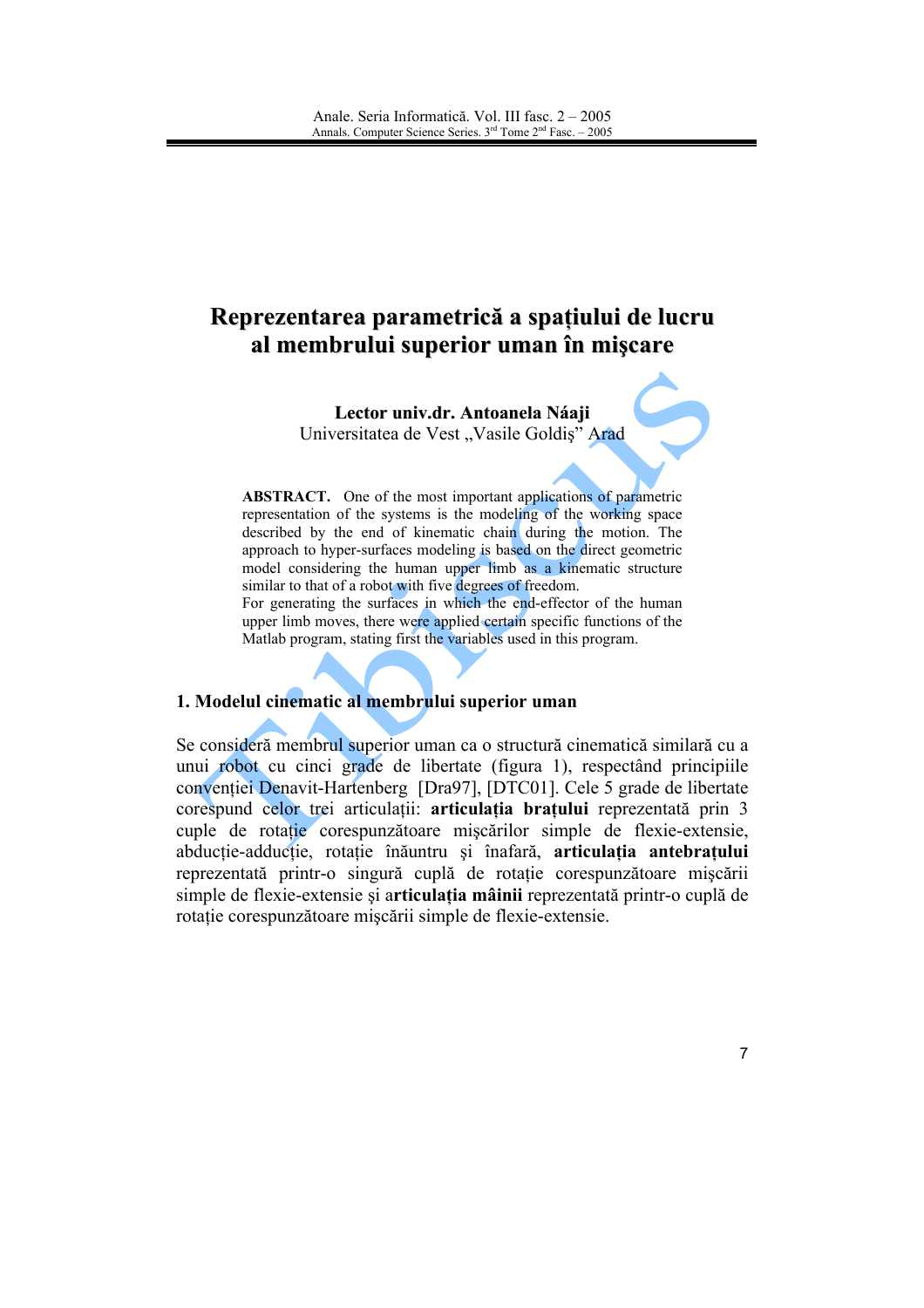# Reprezentarea parametrică a spațiului de lucru al membrului superior uman în mișcare

Lector univ.dr. Antoanela Náaji Universitatea de Vest "Vasile Goldis" Arad

**ABSTRACT.** One of the most important applications of parametric representation of the systems is the modeling of the working space described by the end of kinematic chain during the motion. The approach to hyper-surfaces modeling is based on the direct geometric model considering the human upper limb as a kinematic structure similar to that of a robot with five degrees of freedom. For generating the surfaces in which the end-effector of the human

upper limb moves, there were applied certain specific functions of the Matlab program, stating first the variables used in this program.

### 1. Modelul cinematic al membrului superior uman

Se consideră membrul superior uman ca o structură cinematică similară cu a unui robot cu cinci grade de libertate (figura 1), respectând principiile conventiei Denavit-Hartenberg [Dra97], [DTC01]. Cele 5 grade de libertate corespund celor trei articulatii: articulatia bratului reprezentată prin 3 cuple de rotatie corespunzătoare miscărilor simple de flexie-extensie, abducție-adducție, rotație înăuntru și înafară, articulația antebrațului reprezentată printr-o singură cuplă de rotație corespunzătoare mișcării simple de flexie-extensie și articulatia mâinii reprezentată printr-o cuplă de rotatie corespunzătoare miscării simple de flexie-extensie.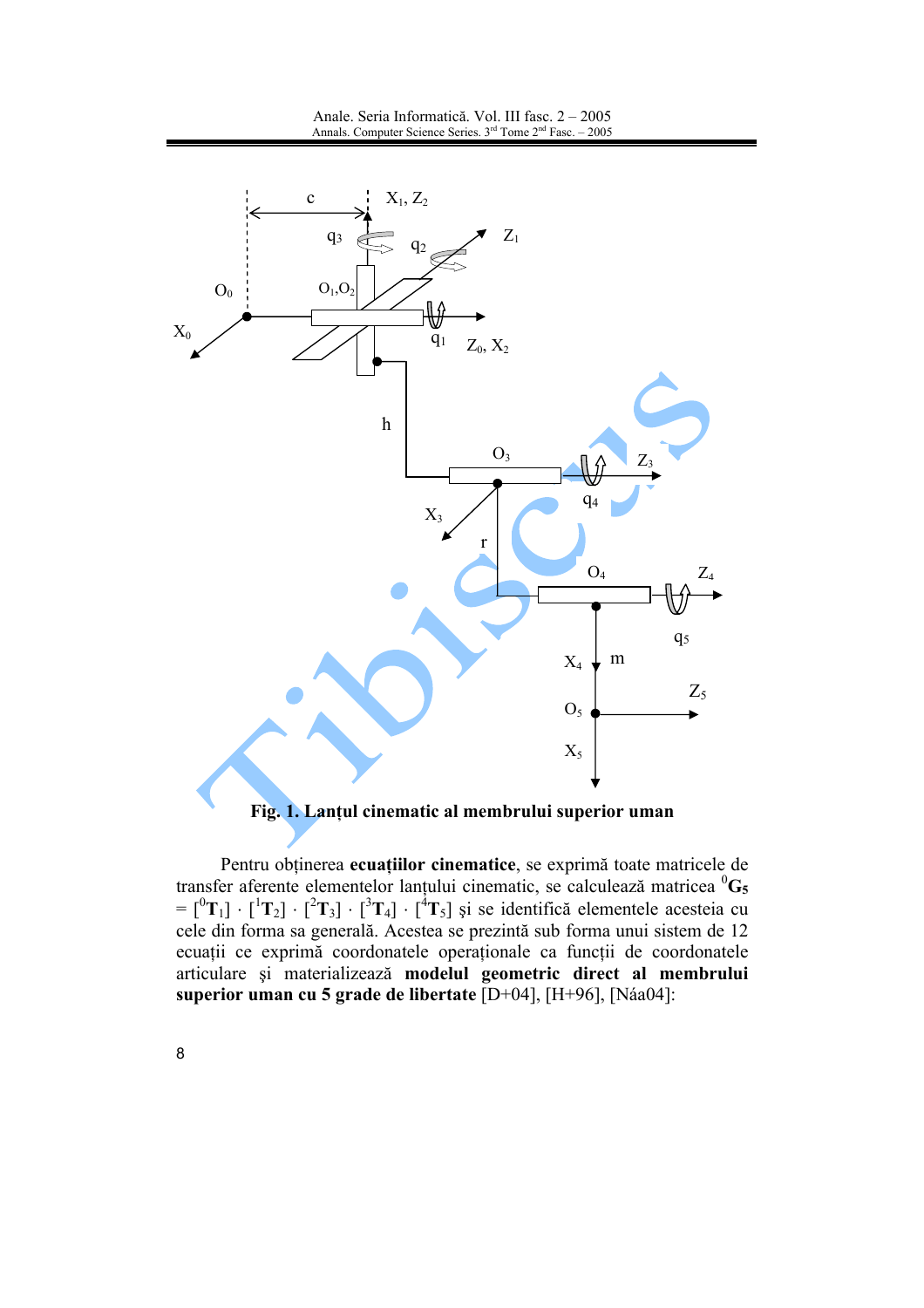

#### Fig. 1. Lanțul cinematic al membrului superior uman

Pentru obținerea ecuațiilor cinematice, se exprimă toate matricele de transfer aferente elementelor lanțului cinematic, se calculează matricea  ${}^{0}G_{5}$  $= [^0T_1] \cdot [^1T_2] \cdot [^2T_3] \cdot [^3T_4] \cdot [^4T_5]$  și se identifică elementele acesteia cu cele din forma sa generală. Acestea se prezintă sub forma unui sistem de 12 ecuații ce exprimă coordonatele operaționale ca funcții de coordonatele articulare și materializează modelul geometric direct al membrului superior uman cu 5 grade de libertate [D+04], [H+96], [Náa04]: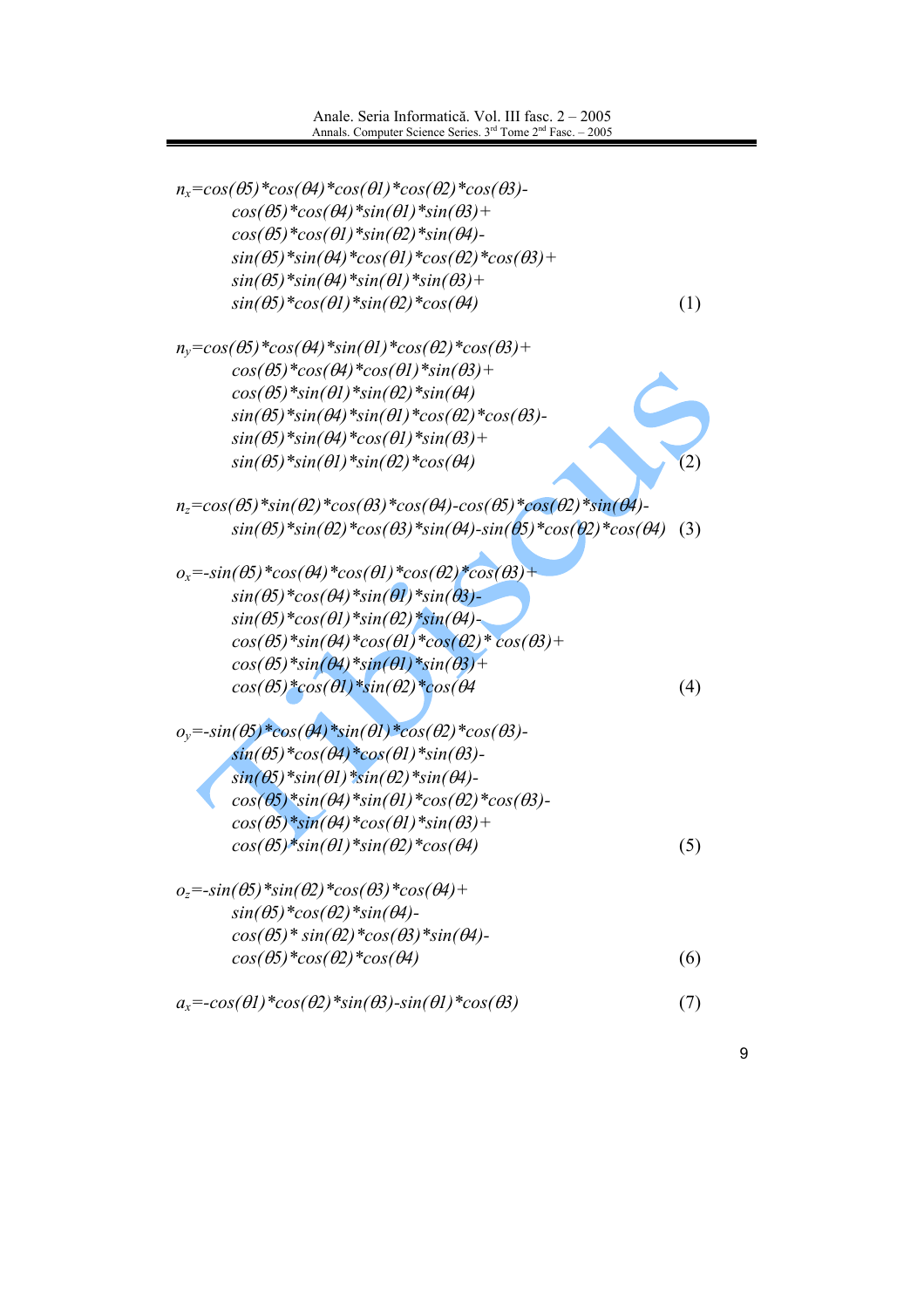| $n_x = cos(\theta_5) * cos(\theta_4) * cos(\theta_1) * cos(\theta_2) * cos(\theta_3)$                                   |     |
|-------------------------------------------------------------------------------------------------------------------------|-----|
| $cos(\theta 5) * cos(\theta 4) * sin(\theta 1) * sin(\theta 3) +$                                                       |     |
| $cos(\theta 5) * cos(\theta 1) * sin(\theta 2) * sin(\theta 4)$                                                         |     |
| $sin(\theta 5)$ *sin( $\theta 4$ )*cos( $\theta 1$ )*cos( $\theta 2$ )*cos( $\theta 3$ )+                               |     |
| $sin(\theta 5)$ * $sin(\theta 4)$ * $sin(\theta 1)$ * $sin(\theta 3)$ +                                                 |     |
| $sin(\theta 5) * cos(\theta 1) * sin(\theta 2) * cos(\theta 4)$                                                         | (1) |
| $n_y = cos(\theta_5) * cos(\theta_4) * sin(\theta_1) * cos(\theta_2) * cos(\theta_3) +$                                 |     |
| $cos(\theta 5) * cos(\theta 4) * cos(\theta 1) * sin(\theta 3) +$                                                       |     |
| $cos(\theta 5)$ *sin $(\theta 1)$ *sin $(\theta 2)$ *sin $(\theta 4)$                                                   |     |
| $sin(\theta 5)$ *sin $(\theta 4)$ *sin $(\theta 1)$ *cos $(\theta 2)$ *cos $(\theta 3)$ -                               |     |
| $sin(\theta 5) * sin(\theta 4) * cos(\theta 1) * sin(\theta 3) +$                                                       |     |
| $sin(\theta 5)$ * $sin(\theta 1)$ * $sin(\theta 2)$ * $cos(\theta 4)$                                                   |     |
|                                                                                                                         |     |
| $n_z = cos(\theta_5) * sin(\theta_2) * cos(\theta_3) * cos(\theta_4) - cos(\theta_5) * cos(\theta_2) * sin(\theta_4) -$ |     |
| $sin(\theta 5) * sin(\theta 2) * cos(\theta 3) * sin(\theta 4) - sin(\theta 5) * cos(\theta 2) * cos(\theta 4)$         | (3) |
|                                                                                                                         |     |
| $o_x = -sin(\theta 5) * cos(\theta 4) * cos(\theta 1) * cos(\theta 2) * cos(\theta 3) +$                                |     |
| $sin(\theta 5) * cos(\theta 4) * sin(\theta 1) * sin(\theta 3) -$                                                       |     |
| $sin(\theta 5) * cos(\theta 1) * sin(\theta 2) * sin(\theta 4) -$                                                       |     |
| $cos(\theta 5)$ *sin( $\theta 4$ )*cos( $\theta 1$ )*cos( $\theta 2$ )*cos( $\theta 3$ )+                               |     |
| $cos(\theta 5) * sin(\theta 4) * sin(\theta 1) * sin(\theta 3) +$                                                       |     |
| $cos(\theta 5) * cos(\theta 1) * sin(\theta 2) * cos(\theta 4)$                                                         | (4) |
| $o_y = -sin(\theta 5) * cos(\theta 4) * sin(\theta 1) * cos(\theta 2) * cos(\theta 3)$                                  |     |
| $sin(\theta 5) * cos(\theta 4) * cos(\theta 1) * sin(\theta 3)$                                                         |     |
| $sin(\theta 5)$ *sin( $\theta$ 1)*sin( $\theta$ 2)*sin( $\theta$ 4)-                                                    |     |
| $cos(\theta 5)$ *sin( $\theta 4$ )*sin( $\theta 1$ )*cos( $\theta 2$ )*cos( $\theta 3$ )-                               |     |
| $cos(\theta 5)$ *sin $(\theta 4)$ *cos $(\theta 1)$ *sin $(\theta 3)$ +                                                 |     |
| $cos(\theta 5) * sin(\theta 1) * sin(\theta 2) * cos(\theta 4)$                                                         | (5) |
| $o_z = -sin(\theta 5) * sin(\theta 2) * cos(\theta 3) * cos(\theta 4) +$                                                |     |
| $sin(\theta 5) * cos(\theta 2) * sin(\theta 4)$                                                                         |     |
| $cos(\theta 5)$ * $sin(\theta 2)$ * $cos(\theta 3)$ * $sin(\theta 4)$ -                                                 |     |
| $cos(\theta 5) * cos(\theta 2) * cos(\theta 4)$                                                                         | (6) |
|                                                                                                                         |     |
| $a_x = -\cos(\theta l) * \cos(\theta 2) * \sin(\theta 3) - \sin(\theta l) * \cos(\theta 3)$                             | (7) |

 $\boldsymbol{9}$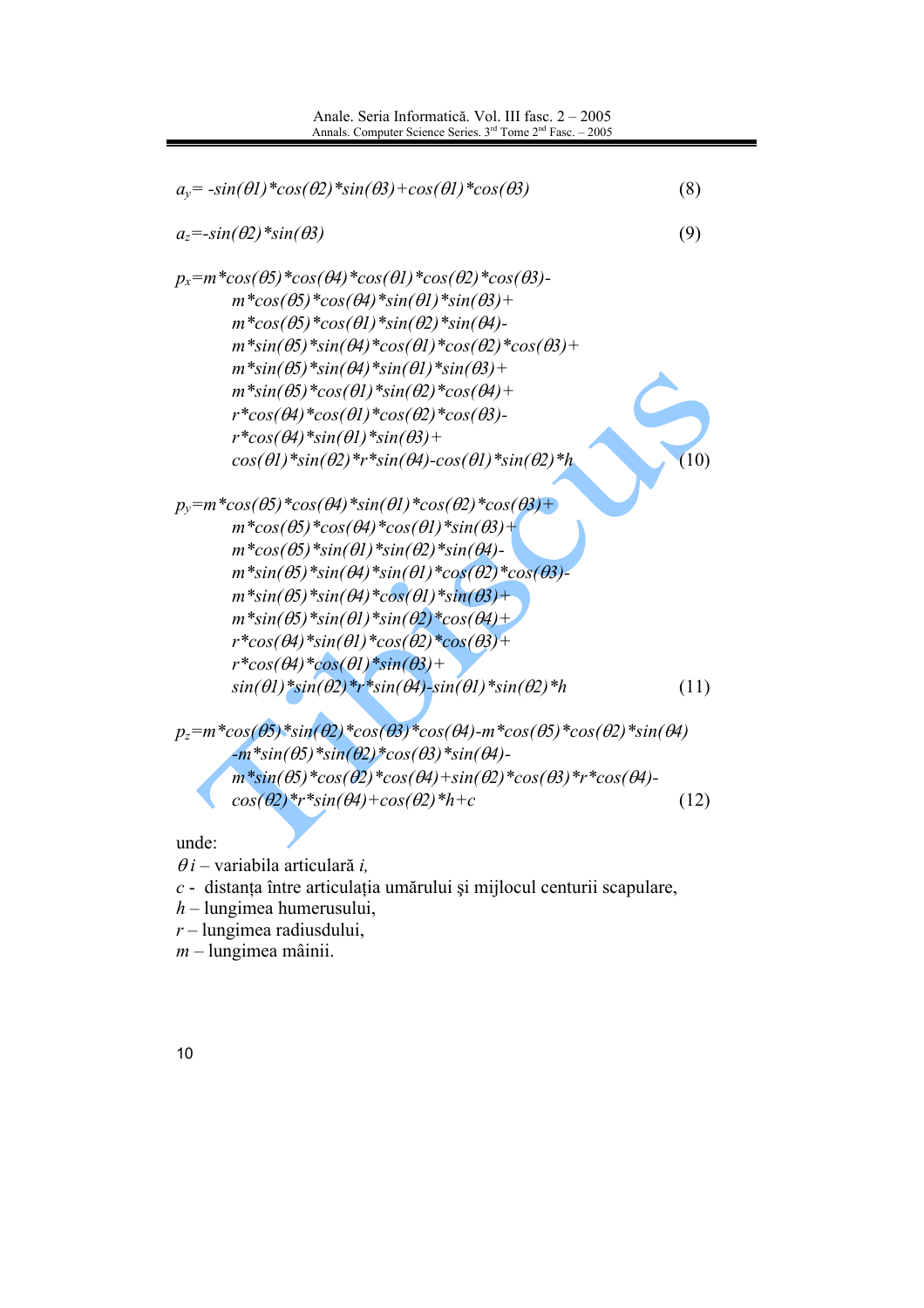| $a_y = -\sin(\theta l) * \cos(\theta 2) * \sin(\theta 3) + \cos(\theta l) * \cos(\theta 3)$                                   | (8)  |
|-------------------------------------------------------------------------------------------------------------------------------|------|
| $a_z = -\sin(\theta_2) * \sin(\theta_3)$                                                                                      | (9)  |
| $p_x = m \cdot cos(\theta_5) \cdot cos(\theta_4) \cdot cos(\theta_1) \cdot cos(\theta_2) \cdot cos(\theta_3)$                 |      |
| $m^*cos(\theta 5)^*cos(\theta 4)^*sin(\theta 1)^*sin(\theta 3) +$                                                             |      |
| $m^*cos(\theta 5)^*cos(\theta 1)^*sin(\theta 2)^*sin(\theta 4)$ -                                                             |      |
| $m*sin(\theta 5)*sin(\theta 4)*cos(\theta 1)*cos(\theta 2)*cos(\theta 3)+$                                                    |      |
| $m^*sin(\theta 5)$ *sin $(\theta 4)$ *sin $(\theta 1)$ *sin $(\theta 3)$ +                                                    |      |
| $m^*sin(\theta 5)^*cos(\theta l)^*sin(\theta 2)^*cos(\theta 4) +$                                                             |      |
| $r * cos(\theta 4) * cos(\theta 1) * cos(\theta 2) * cos(\theta 3)$                                                           |      |
| $r * cos(\theta 4) * sin(\theta 1) * sin(\theta 3) +$                                                                         |      |
| $cos(\theta l)$ *sin( $\theta$ 2)*r*sin( $\theta$ 4)- $cos(\theta l)$ *sin( $\theta$ 2)*h                                     |      |
| $p_y = m^*cos(\theta_5)^*cos(\theta_4)^*sin(\theta_1)^*cos(\theta_2)^*cos(\theta_3) +$                                        |      |
| $m^*cos(\theta 5)^*cos(\theta 4)^*cos(\theta 1)^*sin(\theta 3) +$                                                             |      |
| $m * cos(\theta 5) * sin(\theta 1) * sin(\theta 2) * sin(\theta 4)$                                                           |      |
| $m*sin(\theta 5)*sin(\theta 4)*sin(\theta 1)*cos(\theta 2)*cos(\theta 3)$                                                     |      |
| $m^*sin(\theta 5)^*sin(\theta 4)^*cos(\theta 1)^*sin(\theta 3) +$                                                             |      |
| $m^*sin(\theta 5)^*sin(\theta 1)^*sin(\theta 2)^*cos(\theta 4) +$                                                             |      |
| $r * cos(\theta 4) * sin(\theta 1) * cos(\theta 2) * cos(\theta 3) +$                                                         |      |
| $r * cos(\theta 4) * cos(\theta 1) * sin(\theta 3) +$                                                                         |      |
| $sin(\theta l) * sin(\theta 2) * r * sin(\theta 4) - sin(\theta l) * sin(\theta 2) * h$                                       | (11) |
| $p_z = m * cos(\theta 5) * sin(\theta 2) * cos(\theta 3) * cos(\theta 4) - m * cos(\theta 5) * cos(\theta 2) * sin(\theta 4)$ |      |
| $-m^*sin(\theta 5)$ *sin $(\theta 2)$ *cos( $\theta 3$ )*sin( $\theta 4$ )-                                                   |      |
| $m*sin(\theta 5)*cos(\theta 2)*cos(\theta 4)+sin(\theta 2)*cos(\theta 3)*r*cos(\theta 4)$                                     |      |
| $cos(\theta 2)*r*sin(\theta 4)+cos(\theta 2)*h+c$                                                                             | (12) |
|                                                                                                                               |      |

unde:

 $\theta$ *i* – variabila articulară *i*,

 $c$  - distanța între articulația umărului și mijlocul centurii scapulare,

 $h$  – lungimea humerusului,

 $r$  – lungimea radiusdului,

 $m$  – lungimea mâinii.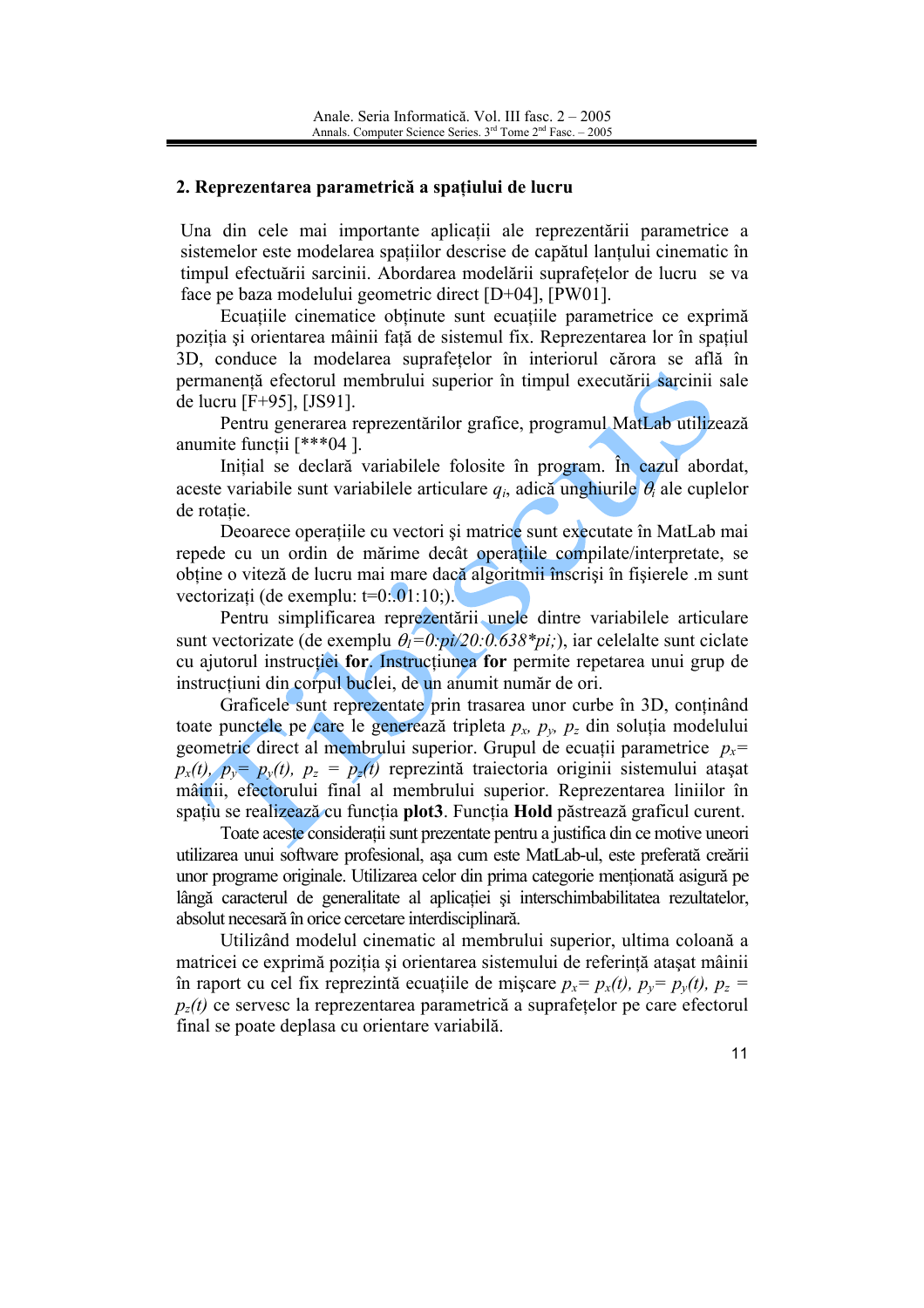### 2. Reprezentarea parametrică a spațiului de lucru

Una din cele mai importante aplicatii ale reprezentării parametrice a sistemelor este modelarea spatiilor descrise de capătul lantului cinematic în timpul efectuării sarcinii. Abordarea modelării suprafetelor de lucru se va face pe baza modelului geometric direct [D+04], [PW01].

Ecuațiile cinematice obtinute sunt ecuațiile parametrice ce exprimă pozitia si orientarea mâinii fată de sistemul fix. Reprezentarea lor în spatiul 3D, conduce la modelarea suprafetelor în interiorul cărora se află în permanență efectorul membrului superior în timpul executării sarcinii sale de lucru [F+95], [JS91].

Pentru generarea reprezentărilor grafice, programul MatLab utilizează anumite functii [\*\*\*04].

Initial se declară variabilele folosite în program. În cazul abordat, aceste variabile sunt variabilele articulare  $q_i$ , adică unghiurile  $\theta_i$  ale cuplelor de rotatie

Deoarece operatiile cu vectori și matrice sunt executate în MatLab mai repede cu un ordin de mărime decât operatiile compilate/interpretate, se obtine o viteză de lucru mai mare dacă algoritmii înscriși în fișierele .m sunt vectorizați (de exemplu:  $t=0$ : 01:10;).

Pentru simplificarea reprezentării unele dintre variabilele articulare sunt vectorizate (de exemplu  $\theta_1 = 0$ :  $pi/20$ : 0.638\*pi;), iar celelalte sunt ciclate cu ajutorul instructiei for. Instructiunea for permite repetarea unui grup de instructiuni din corpul buclei, de un anumit număr de ori.

Graficele sunt reprezentate prin trasarea unor curbe în 3D, conținând toate punctele pe care le generează tripleta  $p_x$ ,  $p_y$ ,  $p_z$  din soluția modelului geometric direct al membrului superior. Grupul de ecuații parametrice  $p_x$ =  $p_x(t)$ ,  $p_y = p_y(t)$ ,  $p_z = p_z(t)$  reprezintă traiectoria originii sistemului atașat mâinii, efectorului final al membrului superior. Reprezentarea liniilor în spațiu se realizează cu funcția plot3. Funcția Hold păstrează graficul curent.

Toate aceste considerații sunt prezentate pentru a justifica din ce motive uneori utilizarea unui software profesional, așa cum este MatLab-ul, este preferată creării unor programe originale. Utilizarea celor din prima categorie mentionată asigură pe lângă caracterul de generalitate al aplicatiei și interschimbabilitatea rezultatelor. absolut necesară în orice cercetare interdisciplinară.

Utilizând modelul cinematic al membrului superior, ultima coloană a matricei ce exprimă poziția și orientarea sistemului de referință atasat mâinii în raport cu cel fix reprezintă ecuațiile de mișcare  $p_x = p_x(t)$ ,  $p_y = p_y(t)$ ,  $p_z =$  $p_z(t)$  ce servesc la reprezentarea parametrică a suprafețelor pe care efectorul final se poate deplasa cu orientare variabilă.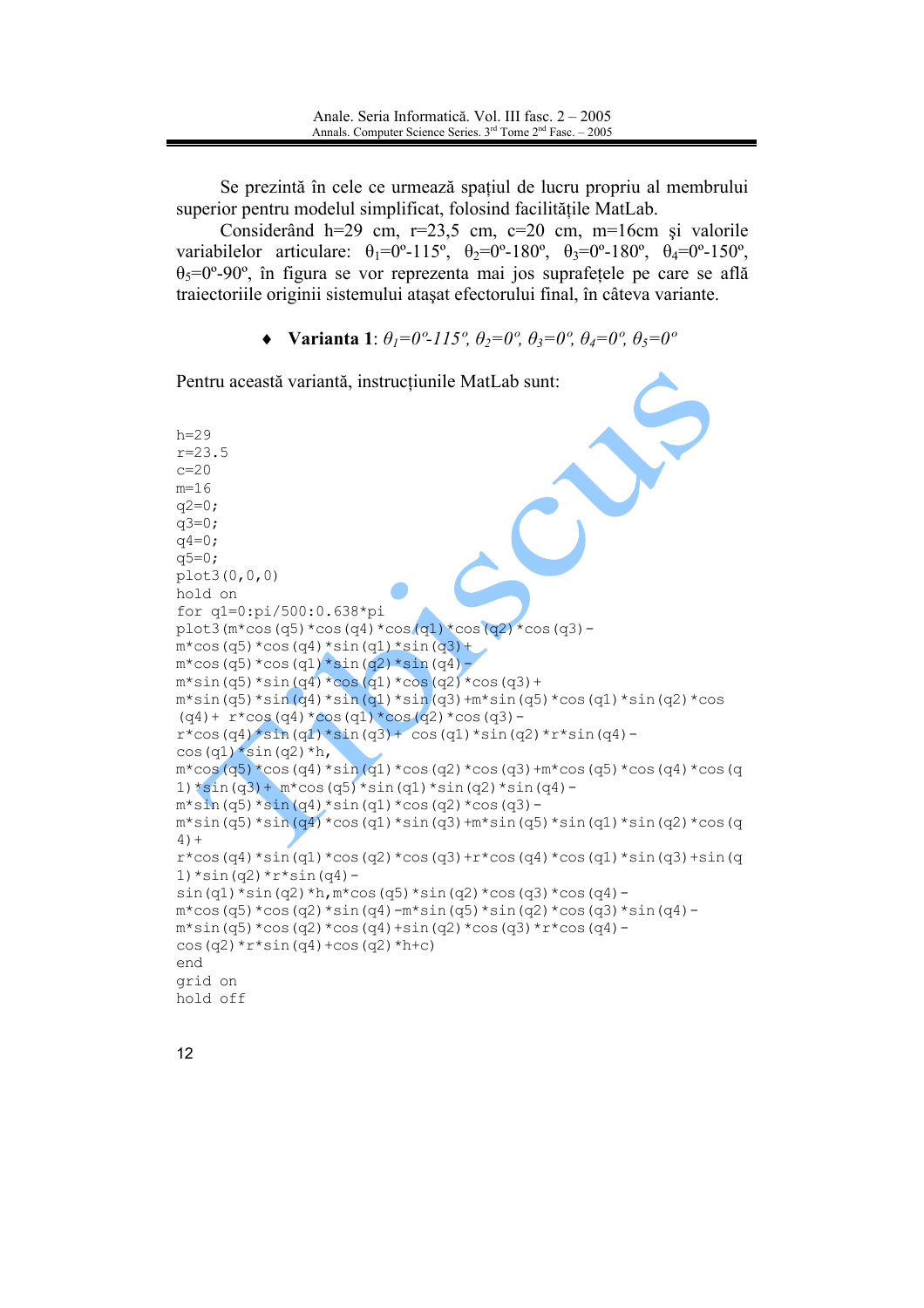Se prezintă în cele ce urmează spațiul de lucru propriu al membrului superior pentru modelul simplificat, folosind facilitățile MatLab.

Considerând  $h=29$  cm,  $r=23.5$  cm,  $c=20$  cm,  $m=16$ cm si valorile variabile lor articulare:  $\theta_1 = 0^\circ - 115^\circ$ ,  $\theta_2 = 0^\circ - 180^\circ$ ,  $\theta_3 = 0^\circ - 180^\circ$ ,  $\theta_4 = 0^\circ - 150^\circ$ ,  $\theta_5 = 0^\circ - 90^\circ$ , în figura se vor reprezenta mai jos suprafetele pe care se află traiectoriile originii sistemului atașat efectorului final, în câteva variante.

• Varianta 1:  $\theta_l = 0^\circ - 115^\circ$ ,  $\theta_2 = 0^\circ$ ,  $\theta_3 = 0^\circ$ ,  $\theta_4 = 0^\circ$ ,  $\theta_5 = 0^\circ$ 

Pentru această variantă, instrucțiunile MatLab sunt:  $h=29$  $r = 23.5$  $c = 20$  $m=16$  $q2=0;$  $a3=0:$  $q = 0$ ;  $q5=0;$  $plot3(0, 0, 0)$ hold on for q1=0:pi/500:0.638\*pi plot3( $m*cos(q5)*cos(q4)*cos(q1)*cos(q2)*cos(q3)$  $m*cos(q5)*cos(q4)*sin(q1)*sin(q3)+$  $m*cos(q5)*cos(q1)*sin(q2)*sin(q4)$  $m*sin(q5)*sin(q4)*cos(q1)*cos(q2)*cos(q3)+$  $m*sin(q5)*sin(q4)*sin(q1)*sin(q3)+m*sin(q5)*cos(q1)*sin(q2)*cos$  $(q4)$  +  $r*cos(q4)*cos(q1)*cos(q2)*cos(q3)$   $r*cos(q4)*sin(q1)*sin(q3)+cos(q1)*sin(q2)*r*sin(q4) \cos{(q1)} * \sin{(q2)} * h,$  $m*cos(q5)*cos(q4)*sin(q1)*cos(q2)*cos(q3)+m*cos(q5)*cos(q4)*cos(q$  $1)$ \*sin(q3)+ m\*cos(q5)\*sin(q1)\*sin(q2)\*sin(q4) $m*sin(q5)*sin(q4)*sin(q1)*cos(q2)*cos(q3)$  $m*sin(q5)*sin(q4)*cos(q1)*sin(q3)+m*sin(q5)*sin(q1)*sin(q2)*cos(q$  $4) +$  $r*cos(q4)*sin(q1)*cos(q2)*cos(q3)+r*cos(q4)*cos(q1)*sin(q3)+sin(q$  $1)*sin(q2)*r*sin(q4) \sin(q1) * \sin(q2) * h$ ,  $m * \cos(q5) * \sin(q2) * \cos(q3) * \cos(q4)$  $m*cos(q5)*cos(q2)*sin(q4)-m*sin(q5)*sin(q2)*cos(q3)*sin(q4)$  $m*sin(q5)*cos(q2)*cos(q4)+sin(q2)*cos(q3)*r*cos(q4) \cos$  (q2) \* r \* sin (q4) + cos (q2) \* h + c) end grid on hold off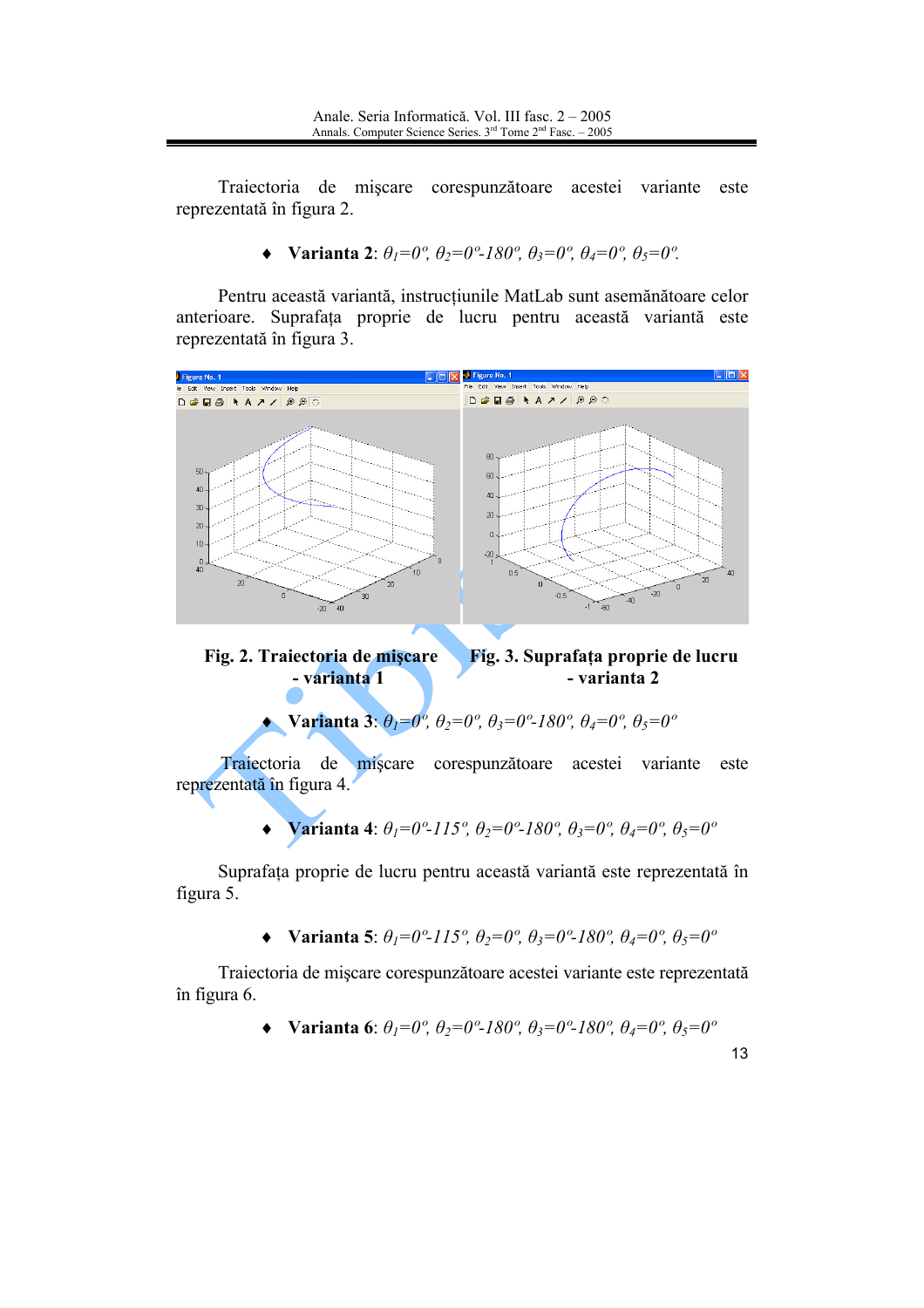Traiectoria de mișcare corespunzătoare acestei variante este reprezentată în figura 2.

 $\blacklozenge$  Varianta 2:  $\theta_1=0^\circ$ ,  $\theta_2=0^\circ$ -180°,  $\theta_3=0^\circ$ ,  $\theta_4=0^\circ$ ,  $\theta_5=0^\circ$ .

Pentru această variantă, instrucțiunile MatLab sunt asemănătoare celor anterioare. Suprafața proprie de lucru pentru această variantă este reprezentată în figura 3.



Fig. 2. Traiectoria de miscare Fig. 3. Suprafața proprie de lucru - varianta 1 - varianta 2

• Varianta 3:  $\theta_1=0^\circ$ ,  $\theta_2=0^\circ$ ,  $\theta_3=0^\circ$ -180°,  $\theta_4=0^\circ$ ,  $\theta_5=0^\circ$ 

Traiectoria de miscare corespunzătoare acestei variante este reprezentată în figura 4.

> Varianta 4:  $\theta_1=0^\circ$ -115°,  $\theta_2=0^\circ$ -180°,  $\theta_3=0^\circ$ ,  $\theta_4=0^\circ$ ,  $\theta_5=0^\circ$  $\bullet$

Suprafața proprie de lucru pentru această variantă este reprezentată în figura 5.

• Varianta 5:  $\theta_1=0^\circ$ -115°,  $\theta_2=0^\circ$ ,  $\theta_3=0^\circ$ -180°,  $\theta_4=0^\circ$ ,  $\theta_5=0^\circ$ 

Traiectoria de mișcare corespunzătoare acestei variante este reprezentată în figura 6.

• Varianta 6: 
$$
\theta_1=0^\circ
$$
,  $\theta_2=0^\circ$ -180°,  $\theta_3=0^\circ$ -180°,  $\theta_4=0^\circ$ ,  $\theta_5=0^\circ$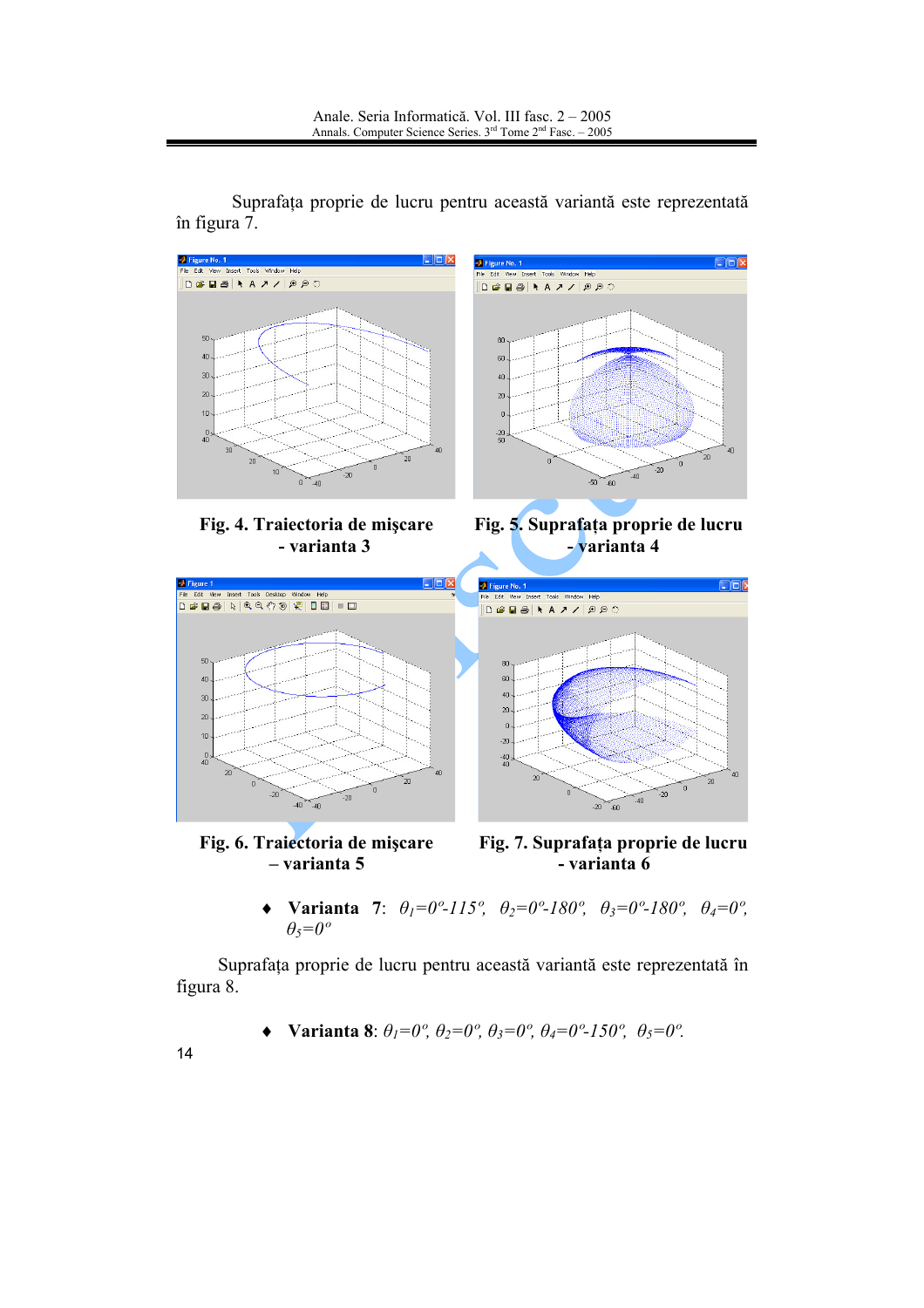

Suprafata proprie de lucru pentru această variantă este reprezentată în figura 7.

> **Varianta** 7:  $\theta_1 = 0^\circ - 115^\circ$ ,  $\theta_2 = 0^\circ - 180^\circ$ ,  $\theta_3 = 0^\circ - 180^\circ$ ,  $\theta_4 = 0^\circ$ ,  $\blacklozenge$  $\theta_5 = 0^\circ$

Suprafața proprie de lucru pentru această variantă este reprezentată în figura 8.

• Varianta 8:  $\theta_1=0^\circ$ ,  $\theta_2=0^\circ$ ,  $\theta_3=0^\circ$ ,  $\theta_4=0^\circ$ -150°,  $\theta_5=0^\circ$ .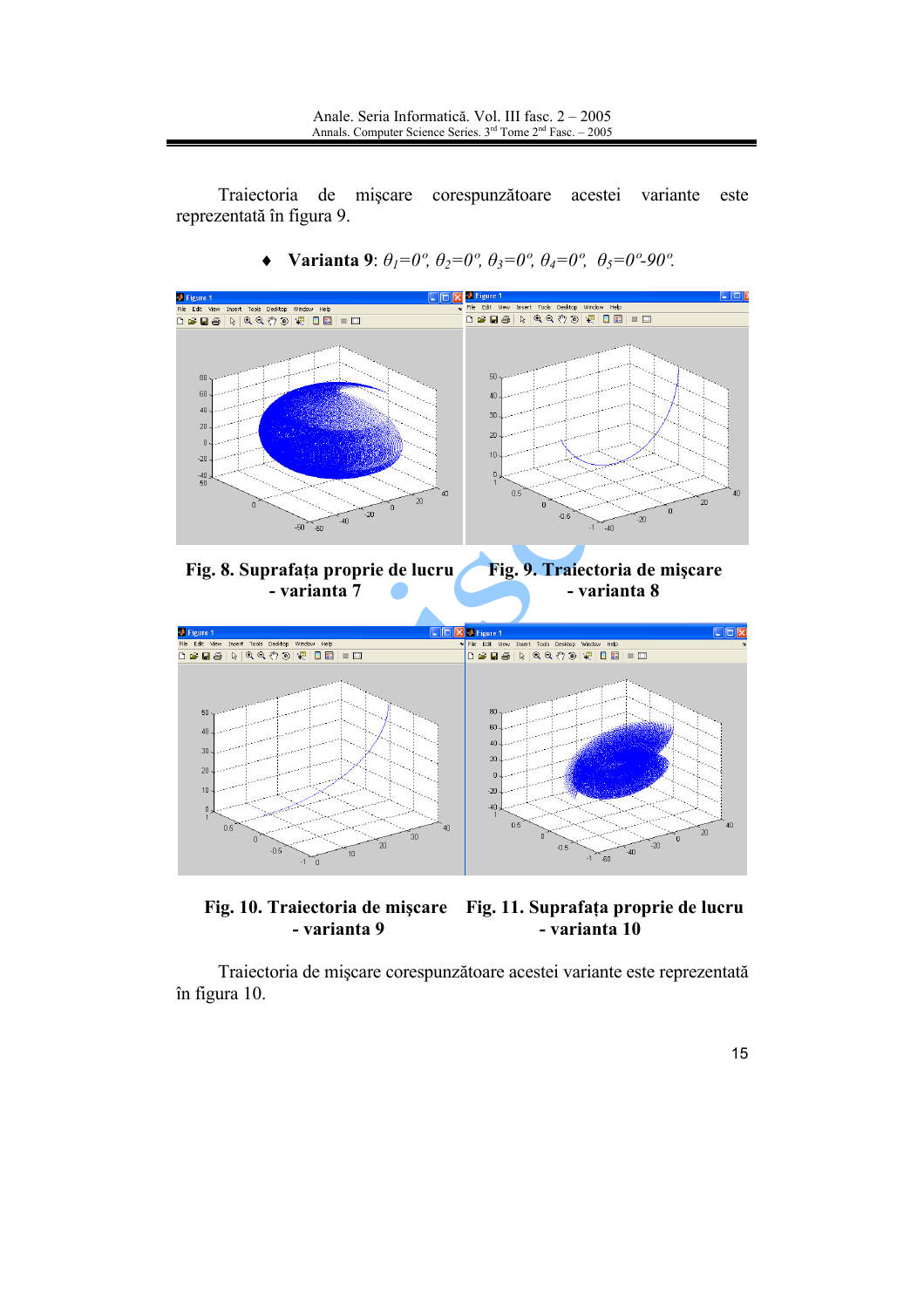Traiectoria de mișcare corespunzătoare acestei variante este reprezentată în figura 9.



Varianta 9:  $\theta_l = 0^\circ$ ,  $\theta_2 = 0^\circ$ ,  $\theta_3 = 0^\circ$ ,  $\theta_4 = 0^\circ$ ,  $\theta_5 = 0^\circ$ -90°.  $\blacklozenge$ 

Fig. 10. Traiectoria de mișcare Fig. 11. Suprafața proprie de lucru - varianta 9 - varianta 10

Traiectoria de mișcare corespunzătoare acestei variante este reprezentată în figura 10.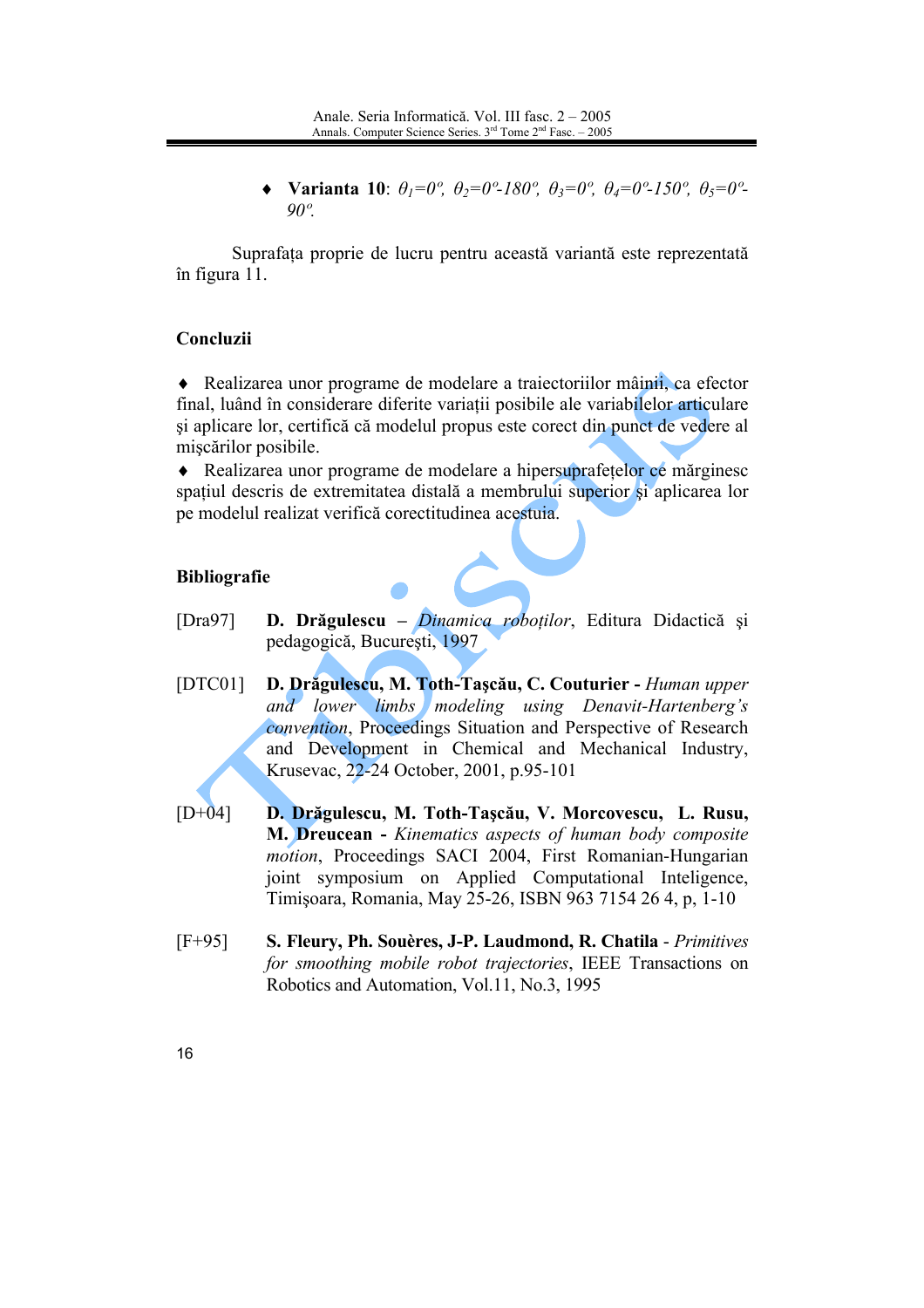Varianta 10:  $\theta_1=0^\circ$ ,  $\theta_2=0^\circ$ -180°,  $\theta_3=0^\circ$ ,  $\theta_4=0^\circ$ -150°,  $\theta_5=0^\circ$ - $90^\circ$ 

Suprafața proprie de lucru pentru această variantă este reprezentată în figura 11.

## Concluzii

• Realizarea unor programe de modelare a trajectoriilor mâinii, ca efector final, luând în considerare diferite variatii posibile ale variabilelor articulare si aplicare lor, certifică că modelul propus este corect din punct de vedere al miscărilor posibile.

• Realizarea unor programe de modelare a hipersuprafetelor ce mărginesc spațiul descris de extremitatea distală a membrului superior și aplicarea lor pe modelul realizat verifică corectitudinea acestuia.

## **Bibliografie**

- D. Drăgulescu Dinamica roboților, Editura Didactică și  $[Dra97]$ pedagogică, București, 1997
- $[DTC01]$ D. Drăgulescu, M. Toth-Tașcău, C. Couturier - Human upper and lower limbs modeling using Denavit-Hartenberg's convention, Proceedings Situation and Perspective of Research and Development in Chemical and Mechanical Industry, Krusevac, 22-24 October, 2001, p.95-101
- $[D+04]$ D. Drăgulescu, M. Toth-Tașcău, V. Morcovescu, L. Rusu, M. Dreucean - Kinematics aspects of human body composite motion, Proceedings SACI 2004, First Romanian-Hungarian joint symposium on Applied Computational Inteligence, Timișoara, Romania, May 25-26, ISBN 963 7154 26 4, p, 1-10
- $[F+95]$ S. Fleury, Ph. Souères, J-P. Laudmond, R. Chatila - Primitives for smoothing mobile robot trajectories. IEEE Transactions on Robotics and Automation, Vol.11, No.3, 1995